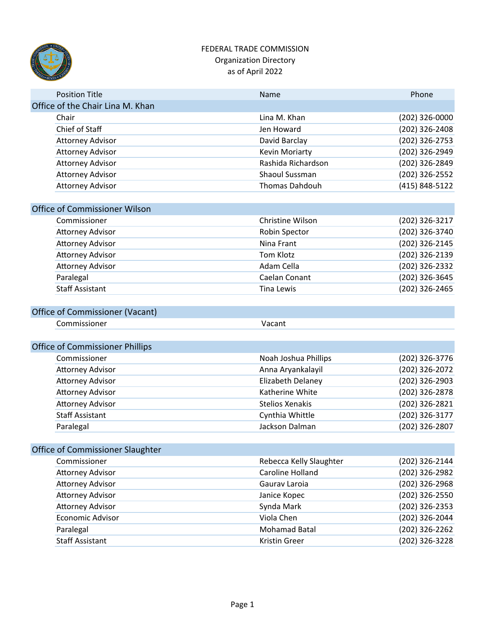

## FEDERAL TRADE COMMISSION Organization Directory as of April 2022

| <b>Position Title</b>            | Name                  | Phone          |
|----------------------------------|-----------------------|----------------|
| Office of the Chair Lina M. Khan |                       |                |
| Chair                            | Lina M. Khan          | (202) 326-0000 |
| Chief of Staff                   | Jen Howard            | (202) 326-2408 |
| <b>Attorney Advisor</b>          | David Barclay         | (202) 326-2753 |
| <b>Attorney Advisor</b>          | Kevin Moriarty        | (202) 326-2949 |
| <b>Attorney Advisor</b>          | Rashida Richardson    | (202) 326-2849 |
| <b>Attorney Advisor</b>          | Shaoul Sussman        | (202) 326-2552 |
| <b>Attorney Advisor</b>          | <b>Thomas Dahdouh</b> | (415) 848-5122 |
|                                  |                       |                |
| Office of Commissioner Wilson    |                       |                |
| Commissioner                     | Christine Wilson      | (202) 326-3217 |
| <b>Attorney Advisor</b>          | Robin Spector         | (202) 326-3740 |
| <b>Attorney Advisor</b>          | Nina Frant            | (202) 326-2145 |
| <b>Attorney Advisor</b>          | Tom Klotz             | (202) 326-2139 |
| <b>Attorney Advisor</b>          | Adam Cella            | (202) 326-2332 |
| Paralegal                        | Caelan Conant         | (202) 326-3645 |
| <b>Staff Assistant</b>           | Tina Lewis            | (202) 326-2465 |
|                                  |                       |                |
| Office of Commissioner (Vacant)  |                       |                |
| Commissioner                     | Vacant                |                |
|                                  |                       |                |
|                                  |                       |                |

| <b>Office of Commissioner Phillips</b> |  |  |  |
|----------------------------------------|--|--|--|
|----------------------------------------|--|--|--|

| Commissioner            | Noah Joshua Phillips | (202) 326-3776 |
|-------------------------|----------------------|----------------|
| <b>Attorney Advisor</b> | Anna Aryankalayil    | (202) 326-2072 |
| <b>Attorney Advisor</b> | Elizabeth Delaney    | (202) 326-2903 |
| <b>Attorney Advisor</b> | Katherine White      | (202) 326-2878 |
| <b>Attorney Advisor</b> | Stelios Xenakis      | (202) 326-2821 |
| <b>Staff Assistant</b>  | Cynthia Whittle      | (202) 326-3177 |
| Paralegal               | Jackson Dalman       | (202) 326-2807 |

|  | Office of Commissioner Slaughter |                         |                |
|--|----------------------------------|-------------------------|----------------|
|  | Commissioner                     | Rebecca Kelly Slaughter | (202) 326-2144 |
|  | <b>Attorney Advisor</b>          | Caroline Holland        | (202) 326-2982 |
|  | <b>Attorney Advisor</b>          | Gauray Laroja           | (202) 326-2968 |
|  | <b>Attorney Advisor</b>          | Janice Kopec            | (202) 326-2550 |
|  | <b>Attorney Advisor</b>          | Synda Mark              | (202) 326-2353 |
|  | <b>Economic Advisor</b>          | Viola Chen              | (202) 326-2044 |
|  | Paralegal                        | <b>Mohamad Batal</b>    | (202) 326-2262 |
|  | <b>Staff Assistant</b>           | Kristin Greer           | (202) 326-3228 |
|  |                                  |                         |                |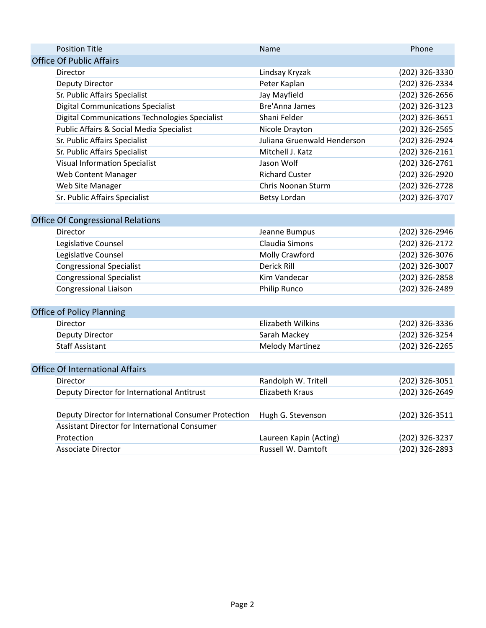| <b>Position Title</b>                                 | Name                        | Phone          |
|-------------------------------------------------------|-----------------------------|----------------|
| <b>Office Of Public Affairs</b>                       |                             |                |
| Director                                              | Lindsay Kryzak              | (202) 326-3330 |
| <b>Deputy Director</b>                                | Peter Kaplan                | (202) 326-2334 |
| Sr. Public Affairs Specialist                         | Jay Mayfield                | (202) 326-2656 |
| <b>Digital Communications Specialist</b>              | <b>Bre'Anna James</b>       | (202) 326-3123 |
| Digital Communications Technologies Specialist        | Shani Felder                | (202) 326-3651 |
| Public Affairs & Social Media Specialist              | Nicole Drayton              | (202) 326-2565 |
| Sr. Public Affairs Specialist                         | Juliana Gruenwald Henderson | (202) 326-2924 |
| Sr. Public Affairs Specialist                         | Mitchell J. Katz            | (202) 326-2161 |
| <b>Visual Information Specialist</b>                  | Jason Wolf                  | (202) 326-2761 |
| Web Content Manager                                   | <b>Richard Custer</b>       | (202) 326-2920 |
| Web Site Manager                                      | Chris Noonan Sturm          | (202) 326-2728 |
| Sr. Public Affairs Specialist                         | Betsy Lordan                | (202) 326-3707 |
|                                                       |                             |                |
| <b>Office Of Congressional Relations</b>              |                             |                |
| Director                                              | Jeanne Bumpus               | (202) 326-2946 |
| Legislative Counsel                                   | Claudia Simons              | (202) 326-2172 |
| Legislative Counsel                                   | Molly Crawford              | (202) 326-3076 |
| <b>Congressional Specialist</b>                       | <b>Derick Rill</b>          | (202) 326-3007 |
| <b>Congressional Specialist</b>                       | Kim Vandecar                | (202) 326-2858 |
| Congressional Liaison                                 | Philip Runco                | (202) 326-2489 |
|                                                       |                             |                |
| <b>Office of Policy Planning</b>                      |                             |                |
| <b>Director</b>                                       | <b>Elizabeth Wilkins</b>    | (202) 326-3336 |
| <b>Deputy Director</b>                                | Sarah Mackey                | (202) 326-3254 |
| <b>Staff Assistant</b>                                | <b>Melody Martinez</b>      | (202) 326-2265 |
|                                                       |                             |                |
| <b>Office Of International Affairs</b>                |                             |                |
| Director                                              | Randolph W. Tritell         | (202) 326-3051 |
| Deputy Director for International Antitrust           | <b>Elizabeth Kraus</b>      | (202) 326-2649 |
|                                                       |                             |                |
| Deputy Director for International Consumer Protection | Hugh G. Stevenson           | (202) 326-3511 |
| <b>Assistant Director for International Consumer</b>  |                             |                |
| Protection                                            | Laureen Kapin (Acting)      | (202) 326-3237 |
| <b>Associate Director</b>                             | Russell W. Damtoft          | (202) 326-2893 |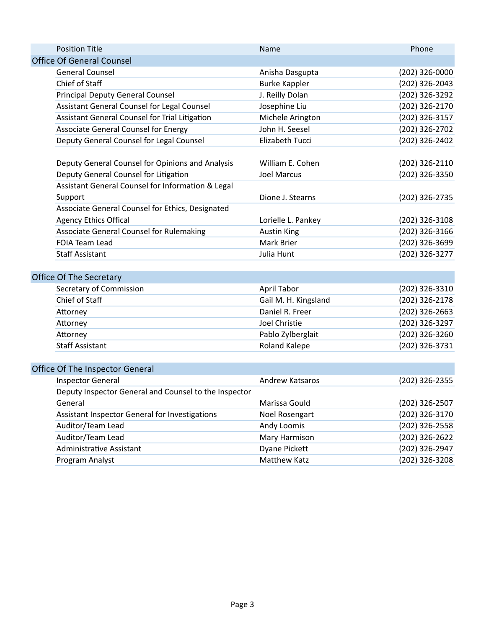| <b>Position Title</b>                             | Name                   | Phone            |
|---------------------------------------------------|------------------------|------------------|
| <b>Office Of General Counsel</b>                  |                        |                  |
| <b>General Counsel</b>                            | Anisha Dasgupta        | (202) 326-0000   |
| Chief of Staff                                    | <b>Burke Kappler</b>   | (202) 326-2043   |
| <b>Principal Deputy General Counsel</b>           | J. Reilly Dolan        | (202) 326-3292   |
| Assistant General Counsel for Legal Counsel       | Josephine Liu          | (202) 326-2170   |
| Assistant General Counsel for Trial Litigation    | Michele Arington       | (202) 326-3157   |
| <b>Associate General Counsel for Energy</b>       | John H. Seesel         | (202) 326-2702   |
| Deputy General Counsel for Legal Counsel          | <b>Elizabeth Tucci</b> | (202) 326-2402   |
|                                                   |                        |                  |
| Deputy General Counsel for Opinions and Analysis  | William E. Cohen       | (202) 326-2110   |
| Deputy General Counsel for Litigation             | <b>Joel Marcus</b>     | (202) 326-3350   |
| Assistant General Counsel for Information & Legal |                        |                  |
| Support                                           | Dione J. Stearns       | (202) 326-2735   |
| Associate General Counsel for Ethics, Designated  |                        |                  |
| <b>Agency Ethics Offical</b>                      | Lorielle L. Pankey     | (202) 326-3108   |
| <b>Associate General Counsel for Rulemaking</b>   | <b>Austin King</b>     | (202) 326-3166   |
| <b>FOIA Team Lead</b>                             | <b>Mark Brier</b>      | (202) 326-3699   |
| <b>Staff Assistant</b>                            | Julia Hunt             | (202) 326-3277   |
|                                                   |                        |                  |
| <b>Office Of The Secretary</b>                    |                        |                  |
| Secretary of Commission                           | April Tabor            | (202) 326-3310   |
| Chief of Staff                                    | Gail M. H. Kingsland   | (202) 326-2178   |
| Attorney                                          | Daniel R. Freer        | (202) 326-2663   |
| Attorney                                          | Joel Christie          | (202) 326-3297   |
| Attorney                                          | Pablo Zylberglait      | (202) 326-3260   |
| <b>Staff Assistant</b>                            | <b>Roland Kalepe</b>   | (202) 326-3731   |
|                                                   |                        |                  |
| Office Of The Inspector General                   |                        |                  |
| Inspector General                                 | Andrew Katsaros        | $(202)$ 326-2355 |

|                | (202) 326-2355  |
|----------------|-----------------|
|                |                 |
| Marissa Gould  | (202) 326-2507  |
| Noel Rosengart | (202) 326-3170  |
| Andy Loomis    | (202) 326-2558  |
| Mary Harmison  | (202) 326-2622  |
| Dyane Pickett  | (202) 326-2947  |
| Matthew Katz   | (202) 326-3208  |
|                | Andrew Katsaros |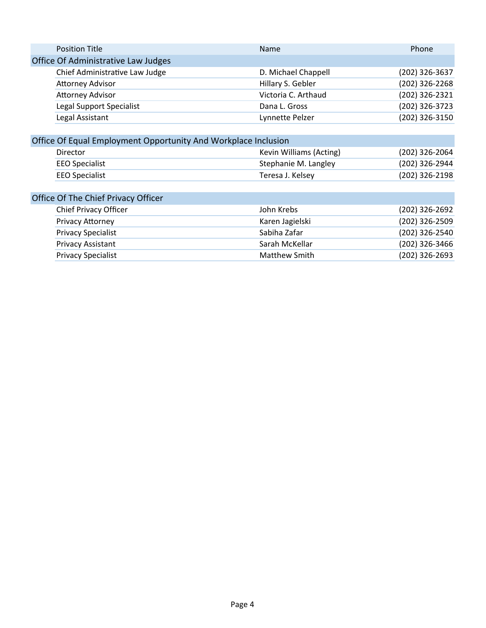|  | <b>Position Title</b>               | Name                | Phone          |
|--|-------------------------------------|---------------------|----------------|
|  | Office Of Administrative Law Judges |                     |                |
|  | Chief Administrative Law Judge      | D. Michael Chappell | (202) 326-3637 |
|  | <b>Attorney Advisor</b>             | Hillary S. Gebler   | (202) 326-2268 |
|  | <b>Attorney Advisor</b>             | Victoria C. Arthaud | (202) 326-2321 |
|  | Legal Support Specialist            | Dana L. Gross       | (202) 326-3723 |
|  | Legal Assistant                     | Lynnette Pelzer     | (202) 326-3150 |

| Office Of Equal Employment Opportunity And Workplace Inclusion |                       |                         |                  |
|----------------------------------------------------------------|-----------------------|-------------------------|------------------|
|                                                                | Director              | Kevin Williams (Acting) | $(202)$ 326-2064 |
|                                                                | <b>EEO Specialist</b> | Stephanie M. Langley    | (202) 326-2944   |
|                                                                | <b>EEO Specialist</b> | Teresa J. Kelsey        | (202) 326-2198   |

## Office Of The Chief Privacy Officer

| John Krebs      | $(202)$ 326-2692 |
|-----------------|------------------|
| Karen Jagielski | $(202)$ 326-2509 |
| Sabiha Zafar    | (202) 326-2540   |
| Sarah McKellar  | (202) 326-3466   |
| Matthew Smith   | $(202)$ 326-2693 |
|                 |                  |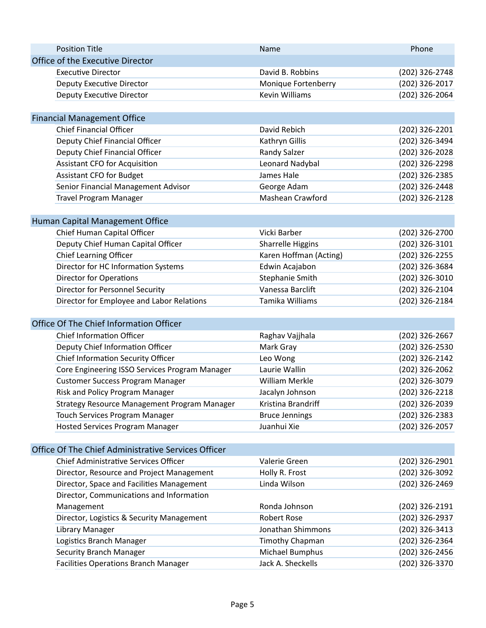| <b>Position Title</b>              |                                                     | Name                     | Phone          |  |
|------------------------------------|-----------------------------------------------------|--------------------------|----------------|--|
|                                    | Office of the Executive Director                    |                          |                |  |
| <b>Executive Director</b>          |                                                     | David B. Robbins         | (202) 326-2748 |  |
|                                    | Deputy Executive Director                           | Monique Fortenberry      | (202) 326-2017 |  |
|                                    | <b>Deputy Executive Director</b>                    | <b>Kevin Williams</b>    | (202) 326-2064 |  |
|                                    |                                                     |                          |                |  |
| <b>Financial Management Office</b> |                                                     |                          |                |  |
| <b>Chief Financial Officer</b>     |                                                     | David Rebich             | (202) 326-2201 |  |
|                                    | Deputy Chief Financial Officer                      | Kathryn Gillis           | (202) 326-3494 |  |
|                                    | Deputy Chief Financial Officer                      | Randy Salzer             | (202) 326-2028 |  |
|                                    | <b>Assistant CFO for Acquisition</b>                | Leonard Nadybal          | (202) 326-2298 |  |
|                                    | <b>Assistant CFO for Budget</b>                     | James Hale               | (202) 326-2385 |  |
|                                    | Senior Financial Management Advisor                 | George Adam              | (202) 326-2448 |  |
|                                    | <b>Travel Program Manager</b>                       | Mashean Crawford         | (202) 326-2128 |  |
|                                    |                                                     |                          |                |  |
|                                    | Human Capital Management Office                     |                          |                |  |
|                                    | Chief Human Capital Officer                         | Vicki Barber             | (202) 326-2700 |  |
|                                    | Deputy Chief Human Capital Officer                  | <b>Sharrelle Higgins</b> | (202) 326-3101 |  |
| <b>Chief Learning Officer</b>      |                                                     | Karen Hoffman (Acting)   | (202) 326-2255 |  |
|                                    | Director for HC Information Systems                 | Edwin Acajabon           | (202) 326-3684 |  |
|                                    | <b>Director for Operations</b>                      | Stephanie Smith          | (202) 326-3010 |  |
|                                    | Director for Personnel Security                     | Vanessa Barclift         | (202) 326-2104 |  |
|                                    | Director for Employee and Labor Relations           | Tamika Williams          | (202) 326-2184 |  |
|                                    |                                                     |                          |                |  |
|                                    | Office Of The Chief Information Officer             |                          |                |  |
|                                    | <b>Chief Information Officer</b>                    | Raghav Vajjhala          | (202) 326-2667 |  |
|                                    | Deputy Chief Information Officer                    | Mark Gray                | (202) 326-2530 |  |
|                                    | Chief Information Security Officer                  | Leo Wong                 | (202) 326-2142 |  |
|                                    | Core Engineering ISSO Services Program Manager      | Laurie Wallin            | (202) 326-2062 |  |
|                                    | <b>Customer Success Program Manager</b>             | <b>William Merkle</b>    | (202) 326-3079 |  |
|                                    | Risk and Policy Program Manager                     | Jacalyn Johnson          | (202) 326-2218 |  |
|                                    | <b>Strategy Resource Management Program Manager</b> | Kristina Brandriff       | (202) 326-2039 |  |
|                                    | Touch Services Program Manager                      | <b>Bruce Jennings</b>    | (202) 326-2383 |  |
|                                    | <b>Hosted Services Program Manager</b>              | Juanhui Xie              | (202) 326-2057 |  |
|                                    |                                                     |                          |                |  |
|                                    | Office Of The Chief Administrative Services Officer |                          |                |  |
|                                    | Chief Administrative Services Officer               | Valerie Green            | (202) 326-2901 |  |
|                                    | Director, Resource and Project Management           | Holly R. Frost           | (202) 326-3092 |  |
|                                    | Director, Space and Facilities Management           | Linda Wilson             | (202) 326-2469 |  |
|                                    | Director, Communications and Information            |                          |                |  |
| Management                         |                                                     | Ronda Johnson            | (202) 326-2191 |  |
|                                    | Director, Logistics & Security Management           | Robert Rose              | (202) 326-2937 |  |
| Library Manager                    |                                                     | Jonathan Shimmons        | (202) 326-3413 |  |
|                                    | Logistics Branch Manager                            | Timothy Chapman          | (202) 326-2364 |  |
|                                    | <b>Security Branch Manager</b>                      | Michael Bumphus          | (202) 326-2456 |  |
|                                    | <b>Facilities Operations Branch Manager</b>         | Jack A. Sheckells        | (202) 326-3370 |  |
|                                    |                                                     |                          |                |  |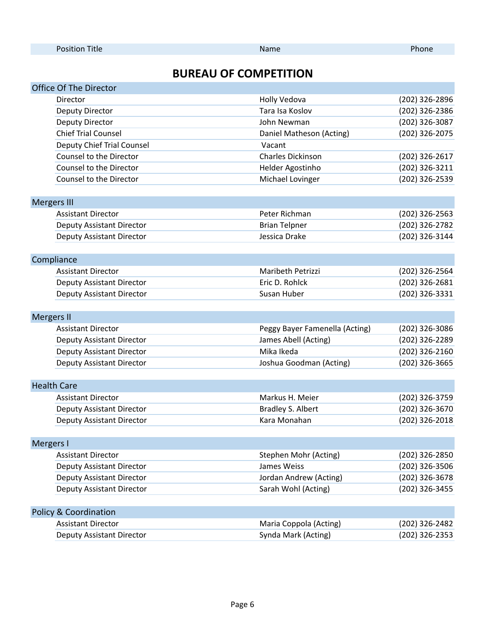## **BUREAU OF COMPETITION**

|                    | Office Of The Director           |                                |                  |
|--------------------|----------------------------------|--------------------------------|------------------|
|                    | Director                         | Holly Vedova                   | (202) 326-2896   |
|                    | Deputy Director                  | Tara Isa Koslov                | (202) 326-2386   |
|                    | Deputy Director                  | John Newman                    | (202) 326-3087   |
|                    | <b>Chief Trial Counsel</b>       | Daniel Matheson (Acting)       | (202) 326-2075   |
|                    | Deputy Chief Trial Counsel       | Vacant                         |                  |
|                    | Counsel to the Director          | <b>Charles Dickinson</b>       | (202) 326-2617   |
|                    | Counsel to the Director          | Helder Agostinho               | (202) 326-3211   |
|                    | Counsel to the Director          | Michael Lovinger               | (202) 326-2539   |
|                    |                                  |                                |                  |
| <b>Mergers III</b> |                                  |                                |                  |
|                    | <b>Assistant Director</b>        | Peter Richman                  | $(202)$ 326-2563 |
|                    | Deputy Assistant Director        | <b>Brian Telpner</b>           | (202) 326-2782   |
|                    | Deputy Assistant Director        | Jessica Drake                  | (202) 326-3144   |
|                    |                                  |                                |                  |
|                    | Compliance                       |                                |                  |
|                    | <b>Assistant Director</b>        | <b>Maribeth Petrizzi</b>       | (202) 326-2564   |
|                    | <b>Deputy Assistant Director</b> | Eric D. Rohlck                 | (202) 326-2681   |
|                    | <b>Deputy Assistant Director</b> | Susan Huber                    | (202) 326-3331   |
|                    |                                  |                                |                  |
| <b>Mergers II</b>  |                                  |                                |                  |
|                    | <b>Assistant Director</b>        | Peggy Bayer Famenella (Acting) | (202) 326-3086   |
|                    | Deputy Assistant Director        | James Abell (Acting)           | (202) 326-2289   |
|                    | <b>Deputy Assistant Director</b> | Mika Ikeda                     | (202) 326-2160   |
|                    | <b>Deputy Assistant Director</b> | Joshua Goodman (Acting)        | (202) 326-3665   |
|                    |                                  |                                |                  |
|                    | <b>Health Care</b>               |                                |                  |
|                    | <b>Assistant Director</b>        | Markus H. Meier                | (202) 326-3759   |
|                    | <b>Deputy Assistant Director</b> | Bradley S. Albert              | (202) 326-3670   |
|                    | <b>Deputy Assistant Director</b> | Kara Monahan                   | (202) 326-2018   |
|                    |                                  |                                |                  |
| Mergers I          |                                  |                                |                  |
|                    | <b>Assistant Director</b>        | Stephen Mohr (Acting)          | (202) 326-2850   |
|                    | Deputy Assistant Director        | James Weiss                    | (202) 326-3506   |
|                    | <b>Deputy Assistant Director</b> | Jordan Andrew (Acting)         | (202) 326-3678   |
|                    | Deputy Assistant Director        | Sarah Wohl (Acting)            | (202) 326-3455   |
|                    |                                  |                                |                  |
|                    | <b>Policy &amp; Coordination</b> |                                |                  |
|                    | <b>Assistant Director</b>        | Maria Coppola (Acting)         | (202) 326-2482   |
|                    | Deputy Assistant Director        | Synda Mark (Acting)            | (202) 326-2353   |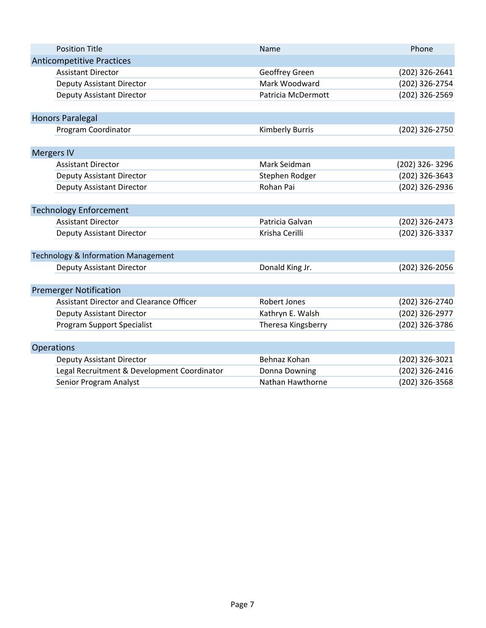|                                                | <b>Position Title</b>                       | Name                   | Phone          |
|------------------------------------------------|---------------------------------------------|------------------------|----------------|
|                                                | <b>Anticompetitive Practices</b>            |                        |                |
|                                                | <b>Assistant Director</b>                   | Geoffrey Green         | (202) 326-2641 |
|                                                | <b>Deputy Assistant Director</b>            | Mark Woodward          | (202) 326-2754 |
|                                                | <b>Deputy Assistant Director</b>            | Patricia McDermott     | (202) 326-2569 |
|                                                |                                             |                        |                |
|                                                | <b>Honors Paralegal</b>                     |                        |                |
|                                                | Program Coordinator                         | <b>Kimberly Burris</b> | (202) 326-2750 |
|                                                |                                             |                        |                |
|                                                | <b>Mergers IV</b>                           |                        |                |
|                                                | <b>Assistant Director</b>                   | Mark Seidman           | (202) 326-3296 |
|                                                | Deputy Assistant Director                   | Stephen Rodger         | (202) 326-3643 |
|                                                | <b>Deputy Assistant Director</b>            | Rohan Pai              | (202) 326-2936 |
|                                                |                                             |                        |                |
| <b>Technology Enforcement</b>                  |                                             |                        |                |
|                                                | <b>Assistant Director</b>                   | Patricia Galvan        | (202) 326-2473 |
|                                                | <b>Deputy Assistant Director</b>            | Krisha Cerilli         | (202) 326-3337 |
|                                                |                                             |                        |                |
| <b>Technology &amp; Information Management</b> |                                             |                        |                |
|                                                | Deputy Assistant Director                   | Donald King Jr.        | (202) 326-2056 |
|                                                |                                             |                        |                |
|                                                | <b>Premerger Notification</b>               |                        |                |
|                                                | Assistant Director and Clearance Officer    | Robert Jones           | (202) 326-2740 |
|                                                | <b>Deputy Assistant Director</b>            | Kathryn E. Walsh       | (202) 326-2977 |
|                                                | <b>Program Support Specialist</b>           | Theresa Kingsberry     | (202) 326-3786 |
|                                                |                                             |                        |                |
|                                                | Operations                                  |                        |                |
|                                                | <b>Deputy Assistant Director</b>            | Behnaz Kohan           | (202) 326-3021 |
|                                                | Legal Recruitment & Development Coordinator | Donna Downing          | (202) 326-2416 |
|                                                | Senior Program Analyst                      | Nathan Hawthorne       | (202) 326-3568 |
|                                                |                                             |                        |                |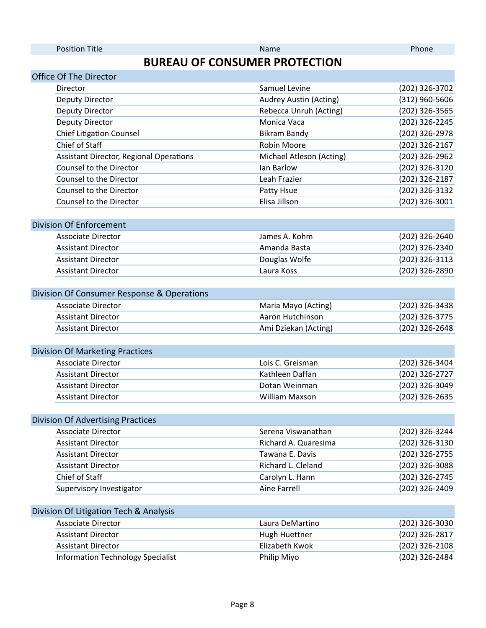| Name | Phone |
|------|-------|
|      |       |

## **BUREAU OF CONSUMER PROTECTION**

| Office Of The Director                         |                          |                |  |
|------------------------------------------------|--------------------------|----------------|--|
| Director                                       | Samuel Levine            | (202) 326-3702 |  |
| Deputy Director                                | Audrey Austin (Acting)   | (312) 960-5606 |  |
| <b>Deputy Director</b>                         | Rebecca Unruh (Acting)   | (202) 326-3565 |  |
| Deputy Director                                | Monica Vaca              | (202) 326-2245 |  |
| <b>Chief Litigation Counsel</b>                | <b>Bikram Bandy</b>      | (202) 326-2978 |  |
| Chief of Staff                                 | Robin Moore              | (202) 326-2167 |  |
| <b>Assistant Director, Regional Operations</b> | Michael Atleson (Acting) | (202) 326-2962 |  |
| Counsel to the Director                        | Ian Barlow               | (202) 326-3120 |  |
| Counsel to the Director                        | Leah Frazier             | (202) 326-2187 |  |
| Counsel to the Director                        | Patty Hsue               | (202) 326-3132 |  |
| Counsel to the Director                        | Elisa Jillson            | (202) 326-3001 |  |
|                                                |                          |                |  |
| <b>Division Of Enforcement</b>                 |                          |                |  |
| <b>Associate Director</b>                      | James A. Kohm            | (202) 326-2640 |  |
| <b>Assistant Director</b>                      | Amanda Basta             | (202) 326-2340 |  |
| <b>Assistant Director</b>                      | Douglas Wolfe            | (202) 326-3113 |  |
| <b>Assistant Director</b>                      | Laura Koss               | (202) 326-2890 |  |
| Division Of Consumer Response & Operations     |                          |                |  |
|                                                |                          |                |  |
| <b>Associate Director</b>                      | Maria Mayo (Acting)      | (202) 326-3438 |  |
| <b>Assistant Director</b>                      | Aaron Hutchinson         | (202) 326-3775 |  |
| <b>Assistant Director</b>                      | Ami Dziekan (Acting)     | (202) 326-2648 |  |
| <b>Division Of Marketing Practices</b>         |                          |                |  |
| <b>Associate Director</b>                      | Lois C. Greisman         | (202) 326-3404 |  |
| <b>Assistant Director</b>                      | Kathleen Daffan          | (202) 326-2727 |  |
| <b>Assistant Director</b>                      | Dotan Weinman            | (202) 326-3049 |  |
| <b>Assistant Director</b>                      | <b>William Maxson</b>    | (202) 326-2635 |  |
|                                                |                          |                |  |
| <b>Division Of Advertising Practices</b>       |                          |                |  |
| <b>Associate Director</b>                      | Serena Viswanathan       | (202) 326-3244 |  |
| <b>Assistant Director</b>                      | Richard A. Quaresima     | (202) 326-3130 |  |
| <b>Assistant Director</b>                      | Tawana E. Davis          | (202) 326-2755 |  |
| <b>Assistant Director</b>                      | Richard L. Cleland       | (202) 326-3088 |  |
| Chief of Staff                                 | Carolyn L. Hann          | (202) 326-2745 |  |
| Supervisory Investigator                       | <b>Aine Farrell</b>      | (202) 326-2409 |  |
| Division Of Litigation Tech & Analysis         |                          |                |  |
| <b>Associate Director</b>                      | Laura DeMartino          | (202) 326-3030 |  |
| <b>Assistant Director</b>                      | Hugh Huettner            | (202) 326-2817 |  |
| <b>Assistant Director</b>                      | Elizabeth Kwok           | (202) 326-2108 |  |
| <b>Information Technology Specialist</b>       | Philip Miyo              | (202) 326-2484 |  |
|                                                |                          |                |  |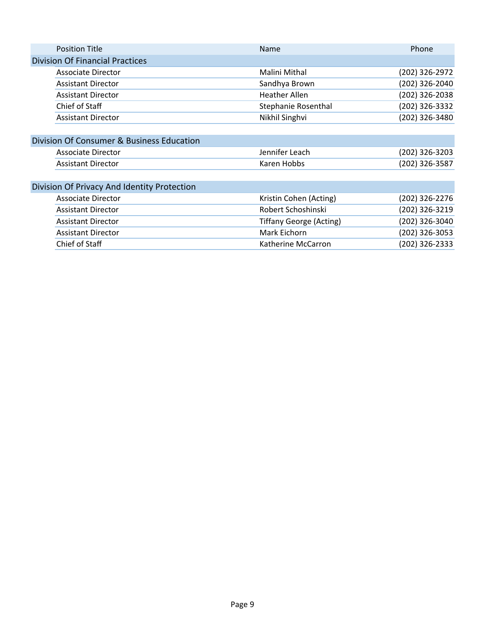| <b>Position Title</b>                       | Name                    | Phone          |  |
|---------------------------------------------|-------------------------|----------------|--|
| <b>Division Of Financial Practices</b>      |                         |                |  |
| Associate Director                          | Malini Mithal           | (202) 326-2972 |  |
| <b>Assistant Director</b>                   | Sandhya Brown           | (202) 326-2040 |  |
| <b>Assistant Director</b>                   | <b>Heather Allen</b>    | (202) 326-2038 |  |
| Chief of Staff                              | Stephanie Rosenthal     | (202) 326-3332 |  |
| <b>Assistant Director</b>                   | Nikhil Singhvi          | (202) 326-3480 |  |
|                                             |                         |                |  |
| Division Of Consumer & Business Education   |                         |                |  |
| <b>Associate Director</b>                   | Jennifer Leach          | (202) 326-3203 |  |
| <b>Assistant Director</b>                   | Karen Hobbs             | (202) 326-3587 |  |
|                                             |                         |                |  |
| Division Of Privacy And Identity Protection |                         |                |  |
| <b>Associate Director</b>                   | Kristin Cohen (Acting)  | (202) 326-2276 |  |
| <b>Assistant Director</b>                   | Robert Schoshinski      | (202) 326-3219 |  |
| <b>Assistant Director</b>                   | Tiffany George (Acting) | (202) 326-3040 |  |
| <b>Assistant Director</b>                   | Mark Eichorn            | (202) 326-3053 |  |
| Chief of Staff                              | Katherine McCarron      | (202) 326-2333 |  |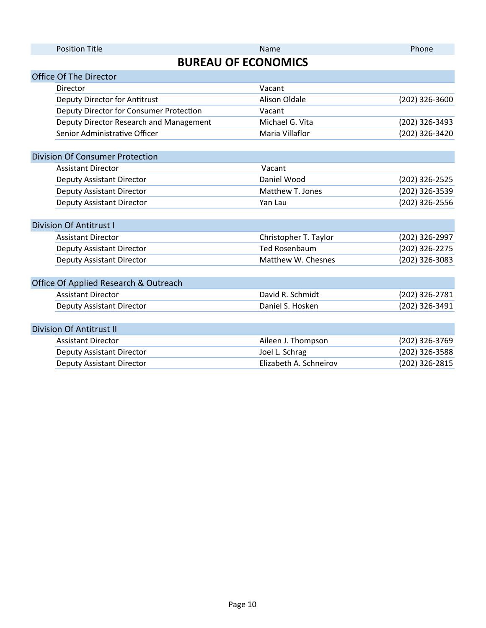| <b>Position Title</b>                   | Name                   | Phone          |  |
|-----------------------------------------|------------------------|----------------|--|
| <b>BUREAU OF ECONOMICS</b>              |                        |                |  |
| Office Of The Director                  |                        |                |  |
| Director                                | Vacant                 |                |  |
| Deputy Director for Antitrust           | <b>Alison Oldale</b>   | (202) 326-3600 |  |
| Deputy Director for Consumer Protection | Vacant                 |                |  |
| Deputy Director Research and Management | Michael G. Vita        | (202) 326-3493 |  |
| Senior Administrative Officer           | Maria Villaflor        | (202) 326-3420 |  |
|                                         |                        |                |  |
| <b>Division Of Consumer Protection</b>  |                        |                |  |
| <b>Assistant Director</b>               | Vacant                 |                |  |
| <b>Deputy Assistant Director</b>        | Daniel Wood            | (202) 326-2525 |  |
| <b>Deputy Assistant Director</b>        | Matthew T. Jones       | (202) 326-3539 |  |
| <b>Deputy Assistant Director</b>        | Yan Lau                | (202) 326-2556 |  |
|                                         |                        |                |  |
| <b>Division Of Antitrust I</b>          |                        |                |  |
| <b>Assistant Director</b>               | Christopher T. Taylor  | (202) 326-2997 |  |
| <b>Deputy Assistant Director</b>        | <b>Ted Rosenbaum</b>   | (202) 326-2275 |  |
| <b>Deputy Assistant Director</b>        | Matthew W. Chesnes     | (202) 326-3083 |  |
|                                         |                        |                |  |
| Office Of Applied Research & Outreach   |                        |                |  |
| <b>Assistant Director</b>               | David R. Schmidt       | (202) 326-2781 |  |
| <b>Deputy Assistant Director</b>        | Daniel S. Hosken       | (202) 326-3491 |  |
|                                         |                        |                |  |
| <b>Division Of Antitrust II</b>         |                        |                |  |
| <b>Assistant Director</b>               | Aileen J. Thompson     | (202) 326-3769 |  |
| Deputy Assistant Director               | Joel L. Schrag         | (202) 326-3588 |  |
| <b>Deputy Assistant Director</b>        | Elizabeth A. Schneirov | (202) 326-2815 |  |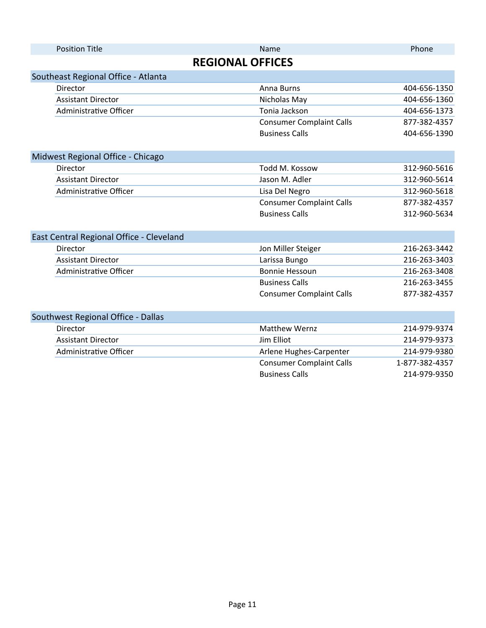| <b>Position Title</b>                    | Name                            | Phone          |
|------------------------------------------|---------------------------------|----------------|
|                                          | <b>REGIONAL OFFICES</b>         |                |
| Southeast Regional Office - Atlanta      |                                 |                |
| Director                                 | Anna Burns                      | 404-656-1350   |
| <b>Assistant Director</b>                | Nicholas May                    | 404-656-1360   |
| Administrative Officer                   | Tonia Jackson                   | 404-656-1373   |
|                                          | <b>Consumer Complaint Calls</b> | 877-382-4357   |
|                                          | <b>Business Calls</b>           | 404-656-1390   |
| Midwest Regional Office - Chicago        |                                 |                |
| Director                                 | Todd M. Kossow                  | 312-960-5616   |
| <b>Assistant Director</b>                | Jason M. Adler                  | 312-960-5614   |
| Administrative Officer                   | Lisa Del Negro                  | 312-960-5618   |
|                                          | <b>Consumer Complaint Calls</b> | 877-382-4357   |
|                                          | <b>Business Calls</b>           | 312-960-5634   |
| East Central Regional Office - Cleveland |                                 |                |
| Director                                 | Jon Miller Steiger              | 216-263-3442   |
| <b>Assistant Director</b>                | Larissa Bungo                   | 216-263-3403   |
| Administrative Officer                   | <b>Bonnie Hessoun</b>           | 216-263-3408   |
|                                          | <b>Business Calls</b>           | 216-263-3455   |
|                                          | <b>Consumer Complaint Calls</b> | 877-382-4357   |
| Southwest Regional Office - Dallas       |                                 |                |
| Director                                 | <b>Matthew Wernz</b>            | 214-979-9374   |
| <b>Assistant Director</b>                | Jim Elliot                      | 214-979-9373   |
| Administrative Officer                   | Arlene Hughes-Carpenter         | 214-979-9380   |
|                                          | <b>Consumer Complaint Calls</b> | 1-877-382-4357 |
|                                          | <b>Business Calls</b>           | 214-979-9350   |